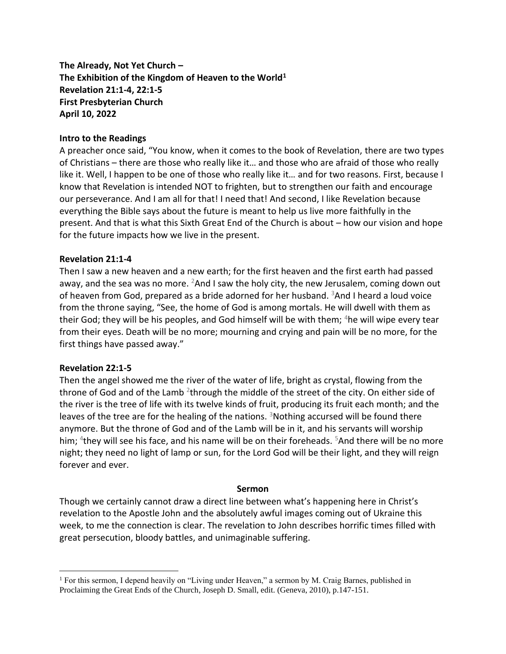**The Already, Not Yet Church – The Exhibition of the Kingdom of Heaven to the World<sup>1</sup> Revelation 21:1-4, 22:1-5 First Presbyterian Church April 10, 2022**

## **Intro to the Readings**

A preacher once said, "You know, when it comes to the book of Revelation, there are two types of Christians – there are those who really like it… and those who are afraid of those who really like it. Well, I happen to be one of those who really like it… and for two reasons. First, because I know that Revelation is intended NOT to frighten, but to strengthen our faith and encourage our perseverance. And I am all for that! I need that! And second, I like Revelation because everything the Bible says about the future is meant to help us live more faithfully in the present. And that is what this Sixth Great End of the Church is about – how our vision and hope for the future impacts how we live in the present.

## **Revelation 21:1-4**

Then I saw a new heaven and a new earth; for the first heaven and the first earth had passed away, and the sea was no more.  $^{2}$ And I saw the holy city, the new Jerusalem, coming down out of heaven from God, prepared as a bride adorned for her husband.  $3$ And I heard a loud voice from the throne saying, "See, the home of God is among mortals. He will dwell with them as their God; they will be his peoples, and God himself will be with them; <sup>4</sup>he will wipe every tear from their eyes. Death will be no more; mourning and crying and pain will be no more, for the first things have passed away."

## **Revelation 22:1-5**

Then the angel showed me the river of the water of life, bright as crystal, flowing from the throne of God and of the Lamb <sup>2</sup>through the middle of the street of the city. On either side of the river is the tree of life with its twelve kinds of fruit, producing its fruit each month; and the leaves of the tree are for the healing of the nations.  $3$ Nothing accursed will be found there anymore. But the throne of God and of the Lamb will be in it, and his servants will worship him; <sup>4</sup>they will see his face, and his name will be on their foreheads. <sup>5</sup>And there will be no more night; they need no light of lamp or sun, for the Lord God will be their light, and they will reign forever and ever.

## **Sermon**

Though we certainly cannot draw a direct line between what's happening here in Christ's revelation to the Apostle John and the absolutely awful images coming out of Ukraine this week, to me the connection is clear. The revelation to John describes horrific times filled with great persecution, bloody battles, and unimaginable suffering.

<sup>&</sup>lt;sup>1</sup> For this sermon, I depend heavily on "Living under Heaven," a sermon by M. Craig Barnes, published in Proclaiming the Great Ends of the Church, Joseph D. Small, edit. (Geneva, 2010), p.147-151.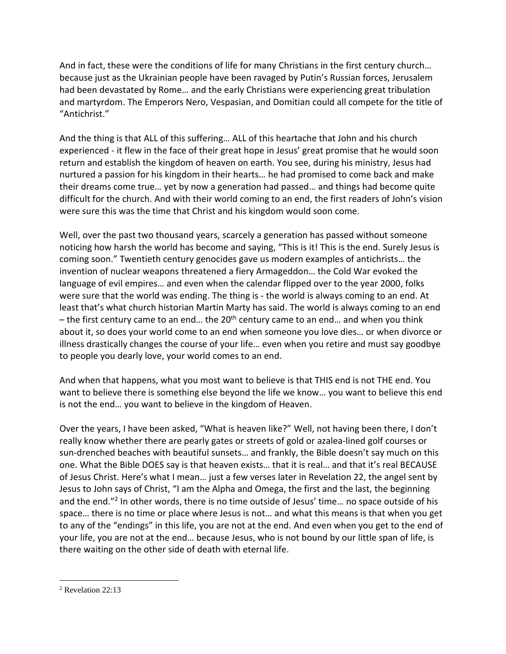And in fact, these were the conditions of life for many Christians in the first century church… because just as the Ukrainian people have been ravaged by Putin's Russian forces, Jerusalem had been devastated by Rome… and the early Christians were experiencing great tribulation and martyrdom. The Emperors Nero, Vespasian, and Domitian could all compete for the title of "Antichrist."

And the thing is that ALL of this suffering… ALL of this heartache that John and his church experienced - it flew in the face of their great hope in Jesus' great promise that he would soon return and establish the kingdom of heaven on earth. You see, during his ministry, Jesus had nurtured a passion for his kingdom in their hearts… he had promised to come back and make their dreams come true… yet by now a generation had passed… and things had become quite difficult for the church. And with their world coming to an end, the first readers of John's vision were sure this was the time that Christ and his kingdom would soon come.

Well, over the past two thousand years, scarcely a generation has passed without someone noticing how harsh the world has become and saying, "This is it! This is the end. Surely Jesus is coming soon." Twentieth century genocides gave us modern examples of antichrists… the invention of nuclear weapons threatened a fiery Armageddon… the Cold War evoked the language of evil empires… and even when the calendar flipped over to the year 2000, folks were sure that the world was ending. The thing is - the world is always coming to an end. At least that's what church historian Martin Marty has said. The world is always coming to an end – the first century came to an end... the 20<sup>th</sup> century came to an end... and when you think about it, so does your world come to an end when someone you love dies… or when divorce or illness drastically changes the course of your life… even when you retire and must say goodbye to people you dearly love, your world comes to an end.

And when that happens, what you most want to believe is that THIS end is not THE end. You want to believe there is something else beyond the life we know… you want to believe this end is not the end… you want to believe in the kingdom of Heaven.

Over the years, I have been asked, "What is heaven like?" Well, not having been there, I don't really know whether there are pearly gates or streets of gold or azalea-lined golf courses or sun-drenched beaches with beautiful sunsets… and frankly, the Bible doesn't say much on this one. What the Bible DOES say is that heaven exists… that it is real… and that it's real BECAUSE of Jesus Christ. Here's what I mean… just a few verses later in Revelation 22, the angel sent by Jesus to John says of Christ, "I am the Alpha and Omega, the first and the last, the beginning and the end."<sup>2</sup> In other words, there is no time outside of Jesus' time... no space outside of his space… there is no time or place where Jesus is not… and what this means is that when you get to any of the "endings" in this life, you are not at the end. And even when you get to the end of your life, you are not at the end… because Jesus, who is not bound by our little span of life, is there waiting on the other side of death with eternal life.

<sup>2</sup> Revelation 22:13